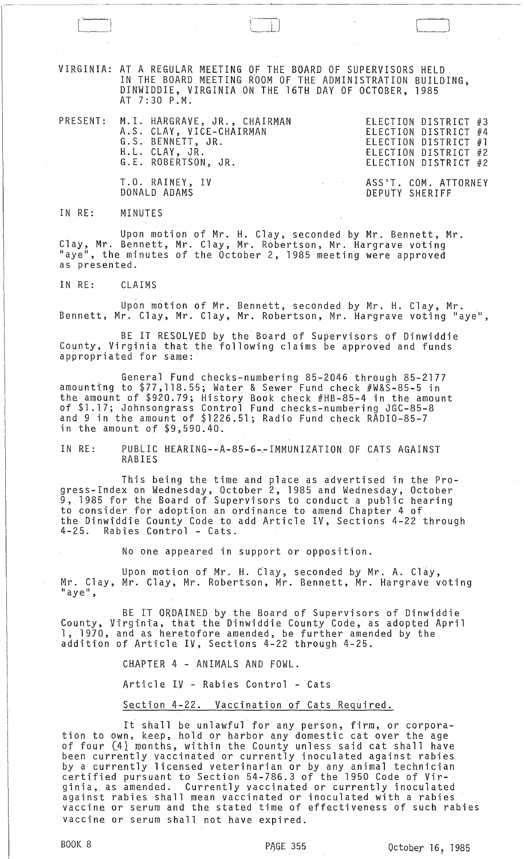VIRGINIA: AT A REGULAR MEETING OF THE BOARD OF SUPERVISORS HELD IN THE BOARD MEETING ROOM OF THE ADMINISTRATION BUILDING, DINWIDDIE, VIRGINIA ON THE 16TH DAY OF OCTOBER, 1985 AT 7:30 P.M.

|  | PRESENT: M.I. HARGRAVE, JR., CHAIRMAN<br>A.S. CLAY, VICE-CHAIRMAN<br>G.S. BENNETT, JR.<br>H.L. CLAY, JR.<br>G.E. ROBERTSON, JR. | ELECTION DISTRICT #3<br>ELECTION DISTRICT #4<br>ELECTION DISTRICT $#1$<br>ELECTION DISTRICT #2<br>ELECTION DISTRICT #2 |
|--|---------------------------------------------------------------------------------------------------------------------------------|------------------------------------------------------------------------------------------------------------------------|
|  | T.O. RAINEY, IV                                                                                                                 | ASS'T. COM. ATTORNEY                                                                                                   |

DEPUTY SHERIFF

IN RE: MINUTES

DONALD ADAMS

Upon motion of Mr. H. Clay, seconded by Mr. Bennett, Mr. Clay, Mr. Bennett, Mr. Clay, Mr. Robertson, Mr. Hargrave voting "aye", the minutes of the October 2, 1985 meeting were approved as presented.

IN RE: CLAIMS

Upon motion of Mr. Bennett, seconded by Mr. H. Clay, Mr.<br>Bennett, Mr. Clay, Mr. Clay, Mr. Robertson, Mr. Hargrave voting "aye",

BE IT RESOLVED by the Board of Supervisors of Dinwiddie County, Virginia that the following claims be approved and funds apbropriated for same:

General Fund checks-numbering 85-2046 through 85-2177 amounttng to \$77,118.55; Water & Sewer Fund check #W&S-85-5 in the amount of \$920.79; History Book check #HB-85-4 in the amount of \$1.17; Johnsongrass Control Fund checks-numbering JGC-85-8 and 9 in the amount of \$1226.51; Radio Fund check RADIO-85-7 in the amount of \$9,590.40.

IN RE: PUBLIC HEARING--A-85-6~-IMMUNIZATION OF CATS AGAINST RABIES

This being the time and place as advertised in the Progress-Index on Wednesday, October 2, 1985 and Wednesday, October  $\mathcal{\tilde{9}}$ , 1985 for the Board of Supervisors to conduct a public hearing to consider for adoption an ordinance to amend Chapter 4 of the Dinwiddie County Code to add Article IV, Sections 4-22 through 4-25. Rabies Control - Cats.

No one appeared in support or opposition.

Upon motion of Mr. H. Clay, seconded by Mr. A. Clay, Mr. Clay, Mr. Clay, Mr. Robertson, Mr. Bennett, Mr. Hargrave voting<br>"aye",

BE IT ORDAINED by the Board of Supervisors of Dinwiddie County, Virginia, that the Dinwiddie County Code, as adopted April 1, 1970, and as heretofore amended, be further amended by the addition of Article IV, Sections 4-22 through 4-25.

CHAPTER 4 - ANIMALS AND FOWL.

Article  $I$ y - Rabies Control - Cats

Section 4-22. Vaccination of Cats Required.

It shall be unlawful for any person, firm, or corporation to own, keep, hold or harbor any domestic cat over the age of four (4) months, within the County unless said cat shall have been currently vaccinated or currently inoculated against rabies by a currently licensed veterinarian or by any animal technician zy in currencity received received that is a symmetry and more commissions. ginia, as amended. Currently vaccinated or currently inoculated against rabies shall mean vaccinated or inoculated with a rabies vaccine or serum and the stated time of effectiveness of such rabies vaccine or serum shall not have expired.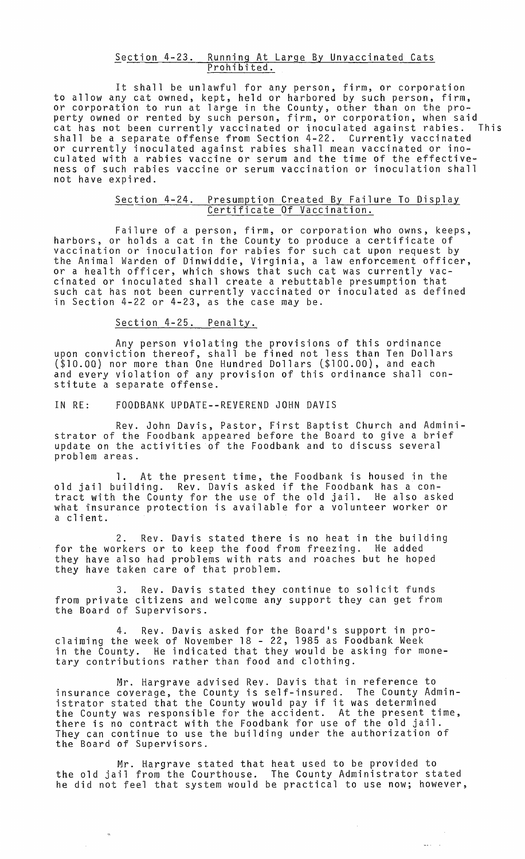#### Section 4-23. Running At Large By Unvaccinated Cats Prohibited.

It shall be unlawful for any person, firm, or corporation to allow any cat owned, kept, held or harbored by such person, firm, or corporation to run at large in the County, other than on the property owned or rented by such person, firm, or corporation, when said cat has not been currently vaccinated or inoculated against rabies. This shall be a separate offense from Section 4-22. Currently vaccinated or currently inoculated against rabies shall mean vaccinated or inoculated with a rabies vaccine or serum and the time of the effectiveness of such rabies vaccine or serum vaccination or inoculation shall not have expired.

# Section 4-24. Presumption Created By Failure To Display Certificate Of Vaccination.

Failure of a person, firm, or corporation who owns, keeps, harbors, or holds a cat in the County to produce a certificate of vaccination or inoculation for rabies for such cat upon request by the Animal Warden of Dinwiddie, Virginia, a law enforcement officer, or a health officer, which shows that such cat was currently vaccinated or inoculated shall create a rebuttable presumption that such cat has not been currently vaccinated or inoculated as defined in Section 4-22 or 4-23, as the case may be.

### Section 4-25. Penalty.

Any person violating the provisions of this ordinance upon conviction thereof, shall be fined not less than Ten Dollars (\$lO.OO) nor more than One Hundred Dollars (\$100.00), and each and every violation of any provision of this ordinance shall constitute a separate offense.

IN RE: FOODBANK UPDATE--REVEREND JOHN DAVIS

Rev. John Davis, Pastor, First Baptist Church and Administrator of the Foodbank appeared before the Board to give a brief update on the activities of the Foodbank and to discuss several problem areas.

1. At the present time, the Foodbank is housed in the old jail building. Rev. Davis asked if the Foodbank has a contract with the County for the use of the old jail. He also asked what insurance protection is available for a volunteer worker or a client.

2. Rev. Davis stated there is no heat in the building for the workers or to keep the food from freezing. He added they have also had problems with rats and roaches but he hoped they have taken care of that problem.

3. Rev. Davis stated they continue to solicit funds from private citizens and welcome any support they can get from the Board of Supervisors.

4. Rev. Davis asked for the Board's support in proclaiming the week of November 18 - 22, 1985 as Foodbank Week in the County. He indicated that they would be asking for monetary contributions rather than food and clothing.

Mr. Hargrave advised Rev. Davis that in reference to insurance coverage, the County is self-insured. The County Administrator stated that the County would pay if it was determined the County was responsible for the accident. At the present time, the county was responsible for the accruent. At the presencerning<br>there is no contract with the Foodbank for use of the old jail.<br>They can continue to use the building under the authorization of They can continue to use the building under the authorization of<br>the Board of Supervisors.

Mr. Hargrave stated that heat used to be provided to the old jail from the Courthouse. The County Administrator stated he did not feel that system would be practical to use now; however,

 $\bar{z}$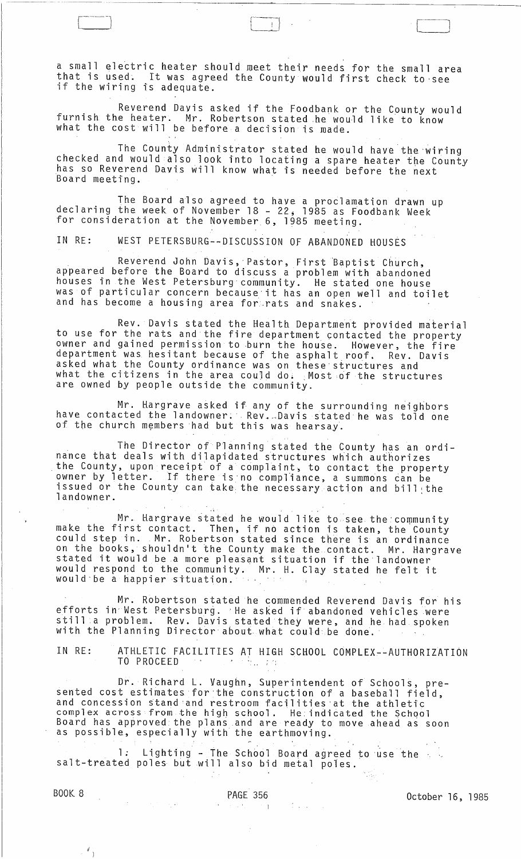a small electric heater should meet their needs for the small area that is used. It was agreed the County would first check to see if the wiring is adequate.

i--~J ' l '

Reverend Davis asked if the Foodbank or the County would furnish the heater. Mr. Robertson stated he would like to know what the cost will be before a decision is made.

The County Administrator stated he would have the wiring<br>checked and would also look into locating a spare heater the County has so Reverend Davis will know what is needed before the next Board meeting.

The Board also agreed to have a proclamation drawn up declaring the week of November 18 - <sup>22</sup> j 1985 as Foodbank Week for consideration at the November 6, 1985 meeting.

IN RE: WEST PETERSBURG--DISCUSSION OF ABANDONED HOUSES

Reverend John Davis, Pastor, First Baptist Church, appeared before the Board to discuss a problem with abandoned houses in the West Petersburg community. He stated one house was of particular concern because'it has an open well and toilet and has become a housing area for rats and snakes.

Rev. Davis stated the Health Department provided material to use for the rats and the fire department contacted the property owner and gained permission to burn the house. However, the fire department was hesitant because of the asphalt roof. Rev. Davis asked what the County ordinance was on these'structures and what the citizens in the area could do: Most of the structures are owned by people outside the community.

Mr. Hargrave asked if any of the surrounding neighbors have contacted the landowner: . Rev. Davis stated he was told one of the church members had but this was hearsay.

The Director of Planning stated the County has an ordinance that deals with dilapidated structures which authorizes the County, upon receipt of a complaint, to contact the property owner by letter. If there is no compliance, a summons can be issued or the County can take the necessary action and bill the landowner.

 $\mathcal{L}$ 

Mr. Hargrave stated he would like to see the community make the first contact. Then, if no action is taken, the County could step in. Mr. Robertson stated since there is an ordinance on the books, shouldn't the County make the contact. Mr. Hargrave on the books, shouldn't the county make the contact. Mr. nary would respond to the community. Mr. H. Clay stated he felt it would be a happier situation. would'be a happier situation.

Mr. Robertson stated he commended Reverend Davis for his efforts in' West Petersburg.' He asked if abandoned vehicles were still a problem. Rev. Davis stated they were, and he had spoken with the Planning Director about what could be done.

IN RE: ATHLETIC FACILITIES AT HIGH SCHOOL COMPLEX--AUTHORIZATION<br>TO PROCEED  $T<sub>1</sub>$  ,  $T<sub>2</sub>$  ,  $T<sub>3</sub>$  ,  $T<sub>4</sub>$ 

Dr. Richard **L.** Vaughn, Superintendent of Schools, presented cost estimates for the construction of a baseball field, and concession stand and restroom facilities at the athletic complex across from the high school. He indicated the School Board has approved the plans and are ready to move ahead as soon as possible, especially with the earthmoving.

1: Lighting - The School Board agreed to use the salt-treated poles but will also bid metal poles.

 $\left\langle \begin{array}{c} d \\ \end{array} \right\rangle$ 

 $\sim 10$ 

BOOK 8 DAGE 356 PAGE 356 October 16, 1985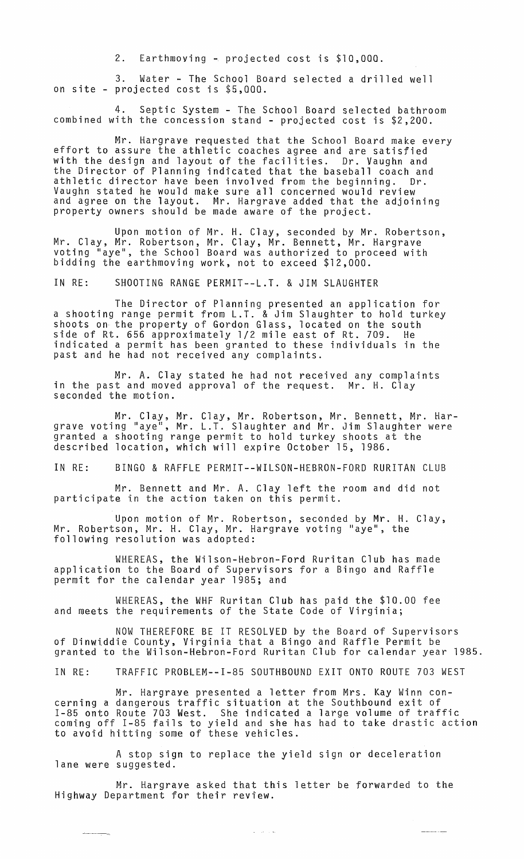2. Earthmoving ~ projected cost is \$10,000.

3. Water - The School Board selected a drilled well on site - projected cost is \$5,000.

4. Septic System - The School Board selected bathroom combined with the concession stand - projected cost is \$2,200.

Mr. Hargrave requested that the School Board make every effort to assure the athletic coaches agree and are satisfied with the design and layout of the facilities. Dr. Vaughn and the Director of Planning indicated that the baseball coach and athletic director have been involved from the beginning. Dr. Vaughn stated he would make sure all concerned would review and agree on the layout. Mr. Hargrave added that the adjoining property owners should be made aware of the project.

Upon motion of Mr. H. Clay, seconded by Mr. Robertson, Mr. Clay, Mr. Robertson, Mr. Clay, Mr. Bennett, Mr. Hargrave voting "aye", the School Board was authorized to proceed with bidding the earthmoving work, not to exceed \$12,000.

IN RE: SHOOTING RANGE PERMIT--L.T. & JIM SLAUGHTER

The Director of Planning presented an application for a shooting range permit from L.T. & Jim Slaughter to hold turkey shoots on the property of Gordon Glass, located on the south side of Rt. 656 approximately 1/2 mile east of Rt. 709. He indicated a permit has been granted to these individuals in the past and he had not received any complaints.

Mr. A. Clay stated he had not received any complaints in the past and moved approval of the request. Mr. H. Clay seconded the motion.

Mr. Clay, Mr. Clay, Mr. Robertson, Mr. Bennett, Mr. Hargrave voting "aye", Mr. L.T. Slaughter and Mr. Jim Slaughter were granted a shooting range permit to hold turkey shoots at the described location, which will expire October 15, 1986.

IN RE: BINGO & RAFFLE PERMIT--WILSON-HEBRON-FORD RURITAN CLUB

Mr. Bennett and Mr. A. Clay left the room and did not participate in the action taken on this permit.

Upon motion of Mr. Robertson, seconded by Mr. H. Clay, Mr. Robertson, Mr. H. Clay, Mr. Hargrave voting "aye", the following resolution was adopted:

WHEREAS, the Wilson-Hebron-Ford Ruritan Club has made application to the Board of Supervisors for a Bingo and Raffle permit for the calendar year 1985; and

WHEREAS, the WHF Ruritan Club has paid the \$10.00 fee and meets the requirements of the State Code of Virginia;

NOW THEREFORE BE IT RESOLVED by the Board of Supervisors of Dinwiddie County, Virginia that a Bingo and Raffle Permit be granted to the Wilson-Hebron-Ford Ruritan Club for calendar year 1985.

IN RE: TRAFFIC PROBLEM--I-85 SOUTHBOUND EXIT ONTO ROUTE 703 WEST

Mr. Hargraye presented a letter from Mrs. Kay Winn concerning a dangerous traffic situation at the Southbound exit of 1-85 onto Route 703 West. She indicated a large volume of traffic coming off 1-85 fails to yield and she has had to take drastic action to avoid hitting some of these vehicles.

A stop sign to replace the yield sign or deceleration lane were suggested.

Mr. Hargraye asked that this letter be forwarded to the Highway Department for their review.

 $\omega = \omega^2/\omega$  as

 $\frac{1}{2}$  and  $\frac{1}{2}$  and  $\frac{1}{2}$  and  $\frac{1}{2}$  and  $\frac{1}{2}$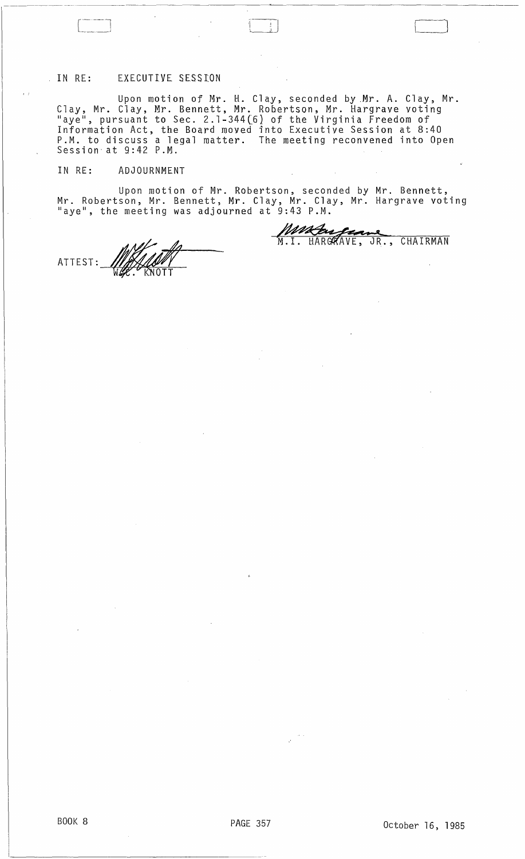# IN RE: EXECUTIVE SESSION

Upon motion of Mr. H. Clay, seconded by.Mr. A. Clay, Mr. Clay, Mr. Clay, Mr. Bennett, Mr. Robertson, Mr. Hargrave voting "aye", pursuant to Sec. 2.1-344(6) of the Virginia Freedom of Information Act, the Board moved into Executive Session at 8:40 P.M. to discuss a legal matter. The meeting reconvened into Open<br>Session at 9:42 P.M.

# IN RE: ADJOURNMENT

 $\mathbb{R}^{\mathbb{Z}}$ 

Upon motion of Mr. Robertson, seconded by Mr. Bennett, Mr. Robertson, Mr. Bennett, Mr. Clay, Mr. Clay, Mr. Hargrave voting "aye", the meeting was adjourned at  $\mathfrak{g}\,:\,43$  P.M.

ATTEST:

'---\_J

Mature